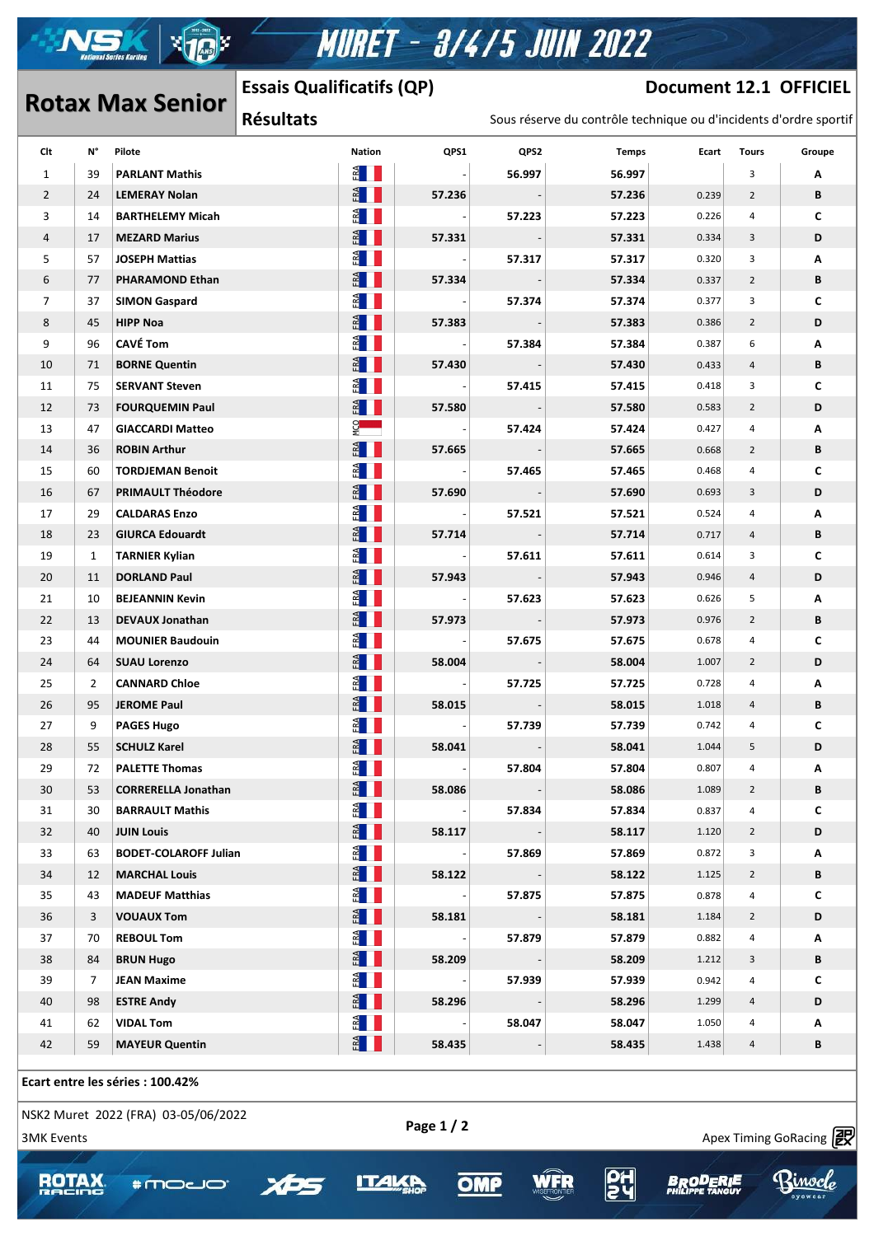

## **MURET - 3/4/5 JUIN 2022**

### **Document 12.1 OFFICIEL**

### **Rotax Max Senior**

 $\mathcal{A}$  , and  $\mathcal{A}$  approximately success https://www.apex-timing.com/

### **Essais Qualificatifs (QP)**

**P.** 

eyewea:

| Clt               | N°             | Pilote                              | Nation                       | QPS1                     | QPS2   | <b>Temps</b> | Ecart | <b>Tours</b>   | Groupe                  |
|-------------------|----------------|-------------------------------------|------------------------------|--------------------------|--------|--------------|-------|----------------|-------------------------|
| 1                 | 39             | <b>PARLANT Mathis</b>               | E                            |                          | 56.997 | 56.997       |       | 3              | Α                       |
| $\overline{2}$    | 24             | <b>LEMERAY Nolan</b>                | FRA                          | 57.236                   |        | 57.236       | 0.239 | $\overline{2}$ | В                       |
| 3                 | 14             | <b>BARTHELEMY Micah</b>             | $\frac{d}{d}$ $  $           | $\overline{\phantom{a}}$ | 57.223 | 57.223       | 0.226 | 4              | C                       |
| 4                 | 17             | <b>MEZARD Marius</b>                | $F^{\mathbf{A}}$             | 57.331                   |        | 57.331       | 0.334 | 3              | D                       |
| 5                 | 57             | <b>JOSEPH Mattias</b>               | E                            |                          | 57.317 | 57.317       | 0.320 | 3              | Α                       |
| 6                 | 77             | <b>PHARAMOND Ethan</b>              | E II                         | 57.334                   |        | 57.334       | 0.337 | $\overline{2}$ | В                       |
| $\overline{7}$    | 37             | <b>SIMON Gaspard</b>                | $\frac{d}{d}$ $  $           |                          | 57.374 | 57.374       | 0.377 | 3              | C                       |
| 8                 | 45             | <b>HIPP Noa</b>                     | FRA                          | 57.383                   |        | 57.383       | 0.386 | $\overline{2}$ | D                       |
| 9                 | 96             | <b>CAVÉ Tom</b>                     | $\frac{d}{d}$                |                          | 57.384 | 57.384       | 0.387 | 6              | Α                       |
| 10                | 71             | <b>BORNE Quentin</b>                | $F^{\mathbf{A}}$             | 57.430                   |        | 57.430       | 0.433 | 4              | В                       |
| 11                | 75             | <b>SERVANT Steven</b>               | $\frac{R}{n}$ $\blacksquare$ |                          | 57.415 | 57.415       | 0.418 | 3              | C                       |
| 12                | 73             | <b>FOURQUEMIN Paul</b>              | FRA                          | 57.580                   |        | 57.580       | 0.583 | $\overline{2}$ | D                       |
| 13                | 47             | <b>GIACCARDI Matteo</b>             |                              |                          | 57.424 | 57.424       | 0.427 | 4              | Α                       |
| 14                | 36             | <b>ROBIN Arthur</b>                 | E                            | 57.665                   |        | 57.665       | 0.668 | $\overline{2}$ | В                       |
| 15                | 60             | <b>TORDJEMAN Benoit</b>             | E                            |                          | 57.465 | 57.465       | 0.468 | 4              | C                       |
| 16                | 67             | <b>PRIMAULT Théodore</b>            | $\frac{3}{2}$                | 57.690                   |        | 57.690       | 0.693 | 3              | D                       |
| 17                | 29             | <b>CALDARAS Enzo</b>                | $\frac{d}{d}$ $\blacksquare$ |                          | 57.521 | 57.521       | 0.524 | 4              | Α                       |
| 18                | 23             | <b>GIURCA Edouardt</b>              | FRA                          | 57.714                   |        | 57.714       | 0.717 | 4              | В                       |
| 19                | 1              | <b>TARNIER Kylian</b>               | $E =$                        |                          | 57.611 | 57.611       | 0.614 | 3              | C                       |
| 20                | 11             | <b>DORLAND Paul</b>                 | FRA                          | 57.943                   |        | 57.943       | 0.946 | 4              | D                       |
| 21                | 10             | <b>BEJEANNIN Kevin</b>              | ER                           |                          | 57.623 | 57.623       | 0.626 | 5              | Α                       |
| 22                | 13             | <b>DEVAUX Jonathan</b>              | $F^{\mathbf{A}}$             | 57.973                   |        | 57.973       | 0.976 | $\overline{2}$ | В                       |
| 23                | 44             | <b>MOUNIER Baudouin</b>             | $E^{\mathbf{A}}$             |                          | 57.675 | 57.675       | 0.678 | 4              | C                       |
| 24                | 64             | <b>SUAU Lorenzo</b>                 | $F^{\mathbf{A}}$             | 58.004                   |        | 58.004       | 1.007 | $\overline{2}$ | D                       |
| 25                | $\overline{2}$ | <b>CANNARD Chloe</b>                | $\frac{N}{n}$                |                          | 57.725 | 57.725       | 0.728 | 4              | Α                       |
| 26                | 95             | <b>JEROME Paul</b>                  | $F^{\mathbf{A}}$             | 58.015                   |        | 58.015       | 1.018 | $\overline{4}$ | В                       |
| 27                | 9              | <b>PAGES Hugo</b>                   | $F^{\mathbf{A}}$             |                          | 57.739 | 57.739       | 0.742 | 4              | c                       |
| 28                | 55             | <b>SCHULZ Karel</b>                 | $E$ $\blacksquare$           | 58.041                   |        | 58.041       | 1.044 | 5              | D                       |
| 29                | 72             | <b>PALETTE Thomas</b>               | E                            |                          | 57.804 | 57.804       | 0.807 | 4              | А                       |
| 30                | 53             | <b>CORRERELLA Jonathan</b>          | FRA                          | 58.086                   |        | 58.086       | 1.089 | $\overline{2}$ | В                       |
| 31                | 30             | <b>BARRAULT Mathis</b>              | $\frac{R}{n}$ $\blacksquare$ |                          | 57.834 | 57.834       | 0.837 | 4              | C                       |
| 32                | 40             | <b>JUIN Louis</b>                   | FRA                          | 58.117                   |        | 58.117       | 1.120 | $\overline{2}$ | D                       |
| 33                | 63             | <b>BODET-COLAROFF Julian</b>        | E II                         |                          | 57.869 | 57.869       | 0.872 | 3              | Α                       |
| 34                | 12             | <b>MARCHAL Louis</b>                | FRA                          | 58.122                   |        | 58.122       | 1.125 | $\overline{2}$ | В                       |
| 35                | 43             | <b>MADEUF Matthias</b>              | <u> 준비하다</u>                 |                          | 57.875 | 57.875       | 0.878 | 4              | c                       |
| 36                | 3              | <b>VOUAUX Tom</b>                   | $F^{\mathbf{A}}$             | 58.181                   |        | 58.181       | 1.184 | $\overline{2}$ | D                       |
| 37                | 70             | <b>REBOUL Tom</b>                   | $F^{\mathbf{A}}$             |                          | 57.879 | 57.879       | 0.882 | 4              | Α                       |
| 38                | 84             | <b>BRUN Hugo</b>                    | $E$ $  $                     | 58.209                   |        | 58.209       | 1.212 | 3              | В                       |
| 39                | 7              | <b>JEAN Maxime</b>                  | $\frac{R}{n}$ $\blacksquare$ |                          | 57.939 | 57.939       | 0.942 | 4              | C                       |
| 40                | 98             | <b>ESTRE Andy</b>                   | $F^{\mathbf{A}}$             | 58.296                   |        | 58.296       | 1.299 | 4              | D                       |
| 41                | 62             | <b>VIDAL Tom</b>                    | R                            |                          | 58.047 | 58.047       | 1.050 | 4              | Α                       |
| 42                | 59             | <b>MAYEUR Quentin</b>               | E                            | 58.435                   |        | 58.435       | 1.438 | 4              | В                       |
|                   |                | Ecart entre les séries : 100.42%    |                              |                          |        |              |       |                |                         |
|                   |                | NSK2 Muret 2022 (FRA) 03-05/06/2022 |                              |                          |        |              |       |                |                         |
| <b>3MK Events</b> |                |                                     |                              | Page 1 / 2               |        |              |       |                | Apex Timing GoRacing 27 |